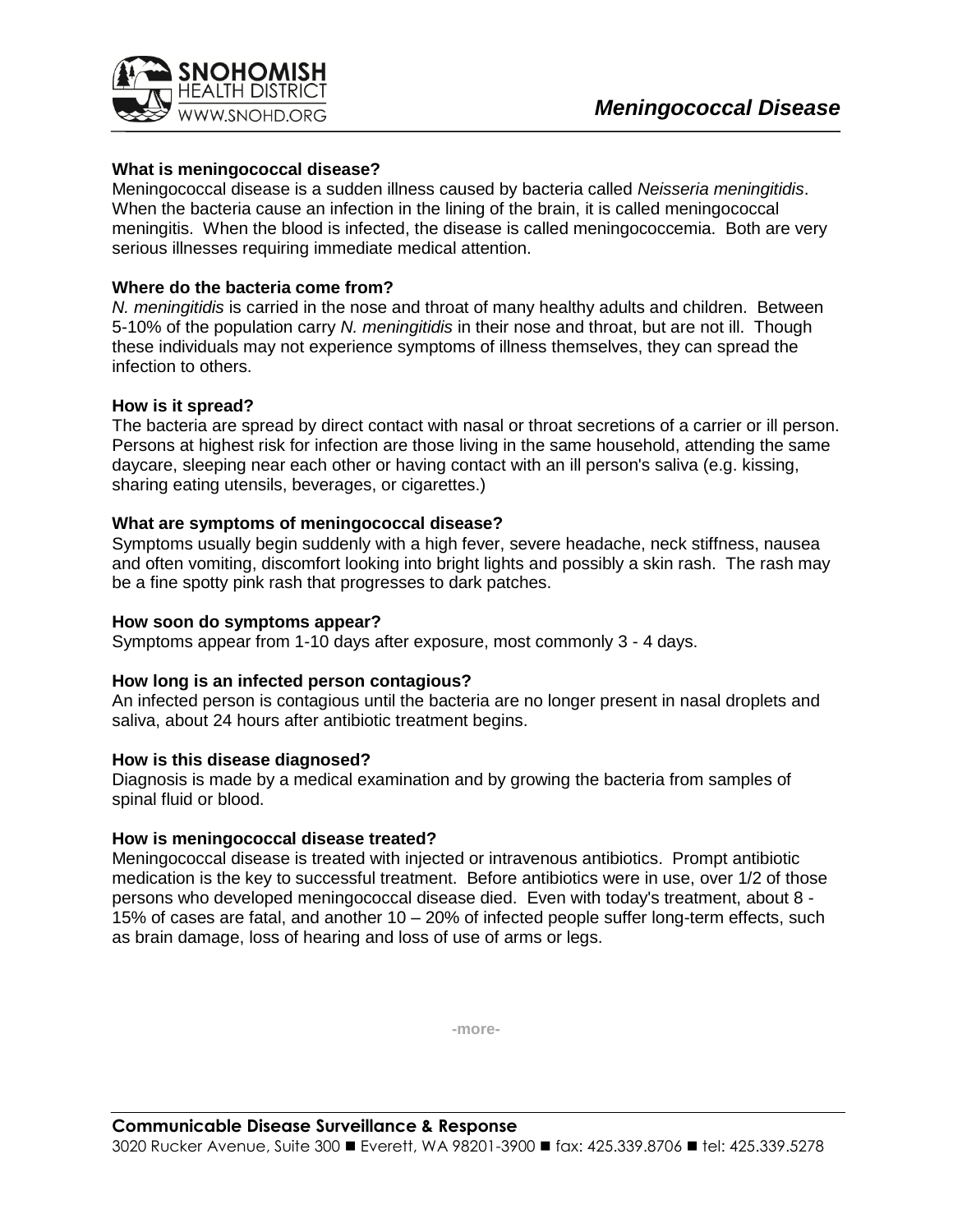

# **What is meningococcal disease?**

Meningococcal disease is a sudden illness caused by bacteria called *Neisseria meningitidis*. When the bacteria cause an infection in the lining of the brain, it is called meningococcal meningitis. When the blood is infected, the disease is called meningococcemia. Both are very serious illnesses requiring immediate medical attention.

## **Where do the bacteria come from?**

*N. meningitidis* is carried in the nose and throat of many healthy adults and children. Between 5-10% of the population carry *N. meningitidis* in their nose and throat, but are not ill. Though these individuals may not experience symptoms of illness themselves, they can spread the infection to others.

### **How is it spread?**

The bacteria are spread by direct contact with nasal or throat secretions of a carrier or ill person. Persons at highest risk for infection are those living in the same household, attending the same daycare, sleeping near each other or having contact with an ill person's saliva (e.g. kissing, sharing eating utensils, beverages, or cigarettes.)

### **What are symptoms of meningococcal disease?**

Symptoms usually begin suddenly with a high fever, severe headache, neck stiffness, nausea and often vomiting, discomfort looking into bright lights and possibly a skin rash. The rash may be a fine spotty pink rash that progresses to dark patches.

#### **How soon do symptoms appear?**

Symptoms appear from 1-10 days after exposure, most commonly 3 - 4 days.

### **How long is an infected person contagious?**

An infected person is contagious until the bacteria are no longer present in nasal droplets and saliva, about 24 hours after antibiotic treatment begins.

#### **How is this disease diagnosed?**

Diagnosis is made by a medical examination and by growing the bacteria from samples of spinal fluid or blood.

### **How is meningococcal disease treated?**

Meningococcal disease is treated with injected or intravenous antibiotics. Prompt antibiotic medication is the key to successful treatment. Before antibiotics were in use, over 1/2 of those persons who developed meningococcal disease died. Even with today's treatment, about 8 - 15% of cases are fatal, and another 10 – 20% of infected people suffer long-term effects, such as brain damage, loss of hearing and loss of use of arms or legs.

**-more-**